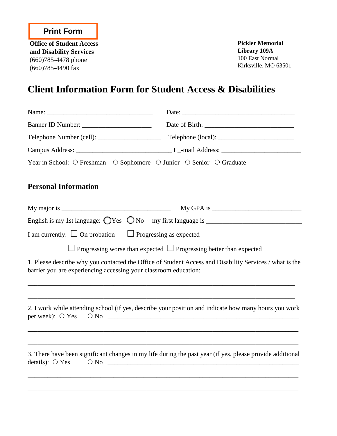**Office of Student Access and Disability Services** (660)785-4478 phone (660)785-4490 fax

**Pickler Memorial Library 109A** 100 East Normal Kirksville, MO 63501

# **Client Information Form for Student Access & Disabilities**

| Year in School: O Freshman O Sophomore O Junior O Senior O Graduate |                                                                                                                                                                                                                 |  |  |
|---------------------------------------------------------------------|-----------------------------------------------------------------------------------------------------------------------------------------------------------------------------------------------------------------|--|--|
| <b>Personal Information</b>                                         |                                                                                                                                                                                                                 |  |  |
|                                                                     |                                                                                                                                                                                                                 |  |  |
|                                                                     |                                                                                                                                                                                                                 |  |  |
| I am currently: $\Box$ On probation $\Box$ Progressing as expected  |                                                                                                                                                                                                                 |  |  |
|                                                                     | $\perp$ Progressing worse than expected $\perp$ Progressing better than expected                                                                                                                                |  |  |
|                                                                     | 1. Please describe why you contacted the Office of Student Access and Disability Services / what is the<br>barrier you are experiencing accessing your classroom education: ___________________________________ |  |  |
| per week): $\bigcirc$ Yes                                           | 2. I work while attending school (if yes, describe your position and indicate how many hours you work                                                                                                           |  |  |
| details): $\bigcirc$ Yes                                            | 3. There have been significant changes in my life during the past year (if yes, please provide additional<br>$\begin{array}{c} \circ \text{No} \\ \hline \end{array}$                                           |  |  |

\_\_\_\_\_\_\_\_\_\_\_\_\_\_\_\_\_\_\_\_\_\_\_\_\_\_\_\_\_\_\_\_\_\_\_\_\_\_\_\_\_\_\_\_\_\_\_\_\_\_\_\_\_\_\_\_\_\_\_\_\_\_\_\_\_\_\_\_\_\_\_\_\_\_\_\_\_\_\_\_\_\_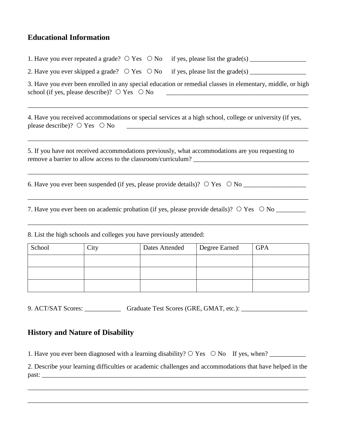### **Educational Information**

|        | 1. Have you ever repeated a grade? $\circ$ Yes $\circ$ No                                                                                                              |                | if yes, please list the grade(s) $\frac{1}{\sqrt{2\pi}}$ |            |
|--------|------------------------------------------------------------------------------------------------------------------------------------------------------------------------|----------------|----------------------------------------------------------|------------|
|        |                                                                                                                                                                        |                |                                                          |            |
|        | 3. Have you ever been enrolled in any special education or remedial classes in elementary, middle, or high<br>school (if yes, please describe)? $\circ$ Yes $\circ$ No |                |                                                          |            |
|        | 4. Have you received accommodations or special services at a high school, college or university (if yes,<br>please describe)? $\circ$ Yes $\circ$ No                   |                |                                                          |            |
|        | 5. If you have not received accommodations previously, what accommodations are you requesting to                                                                       |                |                                                          |            |
|        |                                                                                                                                                                        |                |                                                          |            |
|        |                                                                                                                                                                        |                |                                                          |            |
|        | 8. List the high schools and colleges you have previously attended:                                                                                                    |                |                                                          |            |
| School | City                                                                                                                                                                   | Dates Attended | Degree Earned                                            | <b>GPA</b> |

| School | City | <b>Dates Attended</b> | Degree Earned | <b>GPA</b> |
|--------|------|-----------------------|---------------|------------|
|        |      |                       |               |            |
|        |      |                       |               |            |
|        |      |                       |               |            |

9. ACT/SAT Scores: \_\_\_\_\_\_\_\_\_\_\_\_\_\_\_ Graduate Test Scores (GRE, GMAT, etc.): \_\_\_\_\_\_\_\_\_\_\_\_\_\_\_\_\_\_\_\_\_\_\_\_\_

#### **History and Nature of Disability**

1. Have you ever been diagnosed with a learning disability? Yes No If yes, when? \_\_\_\_\_\_\_\_\_\_\_

2. Describe your learning difficulties or academic challenges and accommodations that have helped in the past: \_\_\_\_\_\_\_\_\_\_\_\_\_\_\_\_\_\_\_\_\_\_\_\_\_\_\_\_\_\_\_\_\_\_\_\_\_\_\_\_\_\_\_\_\_\_\_\_\_\_\_\_\_\_\_\_\_\_\_\_\_\_\_\_\_\_\_\_\_\_\_\_\_\_\_\_\_\_\_\_

\_\_\_\_\_\_\_\_\_\_\_\_\_\_\_\_\_\_\_\_\_\_\_\_\_\_\_\_\_\_\_\_\_\_\_\_\_\_\_\_\_\_\_\_\_\_\_\_\_\_\_\_\_\_\_\_\_\_\_\_\_\_\_\_\_\_\_\_\_\_\_\_\_\_\_\_\_\_\_\_\_\_\_\_\_

\_\_\_\_\_\_\_\_\_\_\_\_\_\_\_\_\_\_\_\_\_\_\_\_\_\_\_\_\_\_\_\_\_\_\_\_\_\_\_\_\_\_\_\_\_\_\_\_\_\_\_\_\_\_\_\_\_\_\_\_\_\_\_\_\_\_\_\_\_\_\_\_\_\_\_\_\_\_\_\_\_\_\_\_\_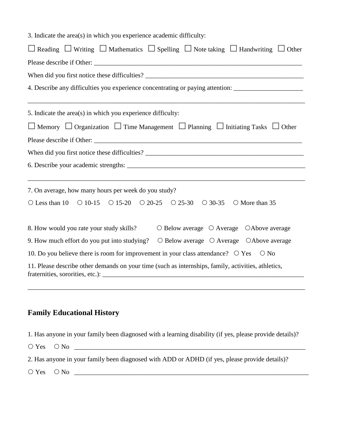| 3. Indicate the area(s) in which you experience academic difficulty:                                                |
|---------------------------------------------------------------------------------------------------------------------|
| $\Box$ Reading $\Box$ Writing $\Box$ Mathematics $\Box$ Spelling $\Box$ Note taking $\Box$ Handwriting $\Box$ Other |
|                                                                                                                     |
|                                                                                                                     |
| 4. Describe any difficulties you experience concentrating or paying attention: _____________________                |
| 5. Indicate the area(s) in which you experience difficulty:                                                         |
| $\Box$ Memory $\Box$ Organization $\Box$ Time Management $\Box$ Planning $\Box$ Initiating Tasks $\Box$ Other       |
|                                                                                                                     |
|                                                                                                                     |
|                                                                                                                     |
| 7. On average, how many hours per week do you study?                                                                |
| O Less than 10 $\circ$ 10-15 $\circ$ 15-20 $\circ$ 20-25 $\circ$ 25-30 $\circ$ 30-35<br>O More than 35              |
| 8. How would you rate your study skills?<br>$\circ$ Below average $\circ$ Average $\circ$ Above average             |
| 9. How much effort do you put into studying? $\circ$ Below average $\circ$ Average $\circ$ Above average            |
| 10. Do you believe there is room for improvement in your class attendance? $\circ$ Yes<br>$\bigcirc$ No             |
| 11. Please describe other demands on your time (such as internships, family, activities, athletics,                 |
|                                                                                                                     |
|                                                                                                                     |

#### **Family Educational History**

1. Has anyone in your family been diagnosed with a learning disability (if yes, please provide details)?

 $\bigcirc$  Yes  $\bigcirc$  No

2. Has anyone in your family been diagnosed with ADD or ADHD (if yes, please provide details)?

 $\bigcirc$  Yes  $\bigcirc$  No  $\qquad \qquad$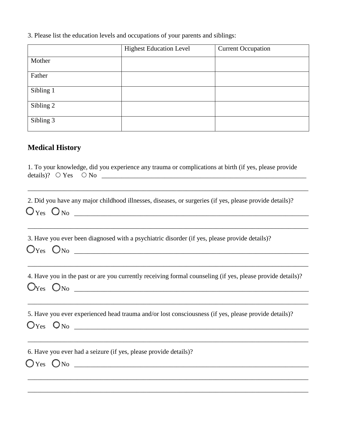3. Please list the education levels and occupations of your parents and siblings:

|           | <b>Highest Education Level</b> | <b>Current Occupation</b> |
|-----------|--------------------------------|---------------------------|
| Mother    |                                |                           |
| Father    |                                |                           |
| Sibling 1 |                                |                           |
| Sibling 2 |                                |                           |
| Sibling 3 |                                |                           |

## **Medical History**

| 1. To your knowledge, did you experience any trauma or complications at birth (if yes, please provide                                                                                                                                     |
|-------------------------------------------------------------------------------------------------------------------------------------------------------------------------------------------------------------------------------------------|
| 2. Did you have any major childhood illnesses, diseases, or surgeries (if yes, please provide details)?<br>$O_{Yes}$ $O_{No}$ $\qquad \qquad$                                                                                             |
| ,我们也不能在这里的人,我们也不能在这里的人,我们也不能在这里的人,我们也不能在这里的人,我们也不能在这里的人,我们也不能在这里的人,我们也不能在这里的人,我们也<br>3. Have you ever been diagnosed with a psychiatric disorder (if yes, please provide details)?<br>$O_{Yes}$ $O_{No}$ $\qquad \qquad$                  |
| 4. Have you in the past or are you currently receiving formal counseling (if yes, please provide details)?<br>$O_{Yes}$ $O_{No}$ $\_\_$                                                                                                   |
| 5. Have you ever experienced head trauma and/or lost consciousness (if yes, please provide details)?<br>$O$ $Y$ es $O$ $NO$ $1$                                                                                                           |
| ,我们也不能在这里的时候,我们也不能在这里的时候,我们也不能在这里的时候,我们也不能会在这里的时候,我们也不能会在这里的时候,我们也不能会在这里的时候,我们也不<br>6. Have you ever had a seizure (if yes, please provide details)?<br>$O$ Yes $O$ No $\_\_\_\_\_\_\_\_\_\_\_\_\_\_\_\_\_\_\_\_\_\_\_\_\_\_\_\_\_\_\_\_$ |

\_\_\_\_\_\_\_\_\_\_\_\_\_\_\_\_\_\_\_\_\_\_\_\_\_\_\_\_\_\_\_\_\_\_\_\_\_\_\_\_\_\_\_\_\_\_\_\_\_\_\_\_\_\_\_\_\_\_\_\_\_\_\_\_\_\_\_\_\_\_\_\_\_\_\_\_\_\_\_\_\_\_\_\_\_